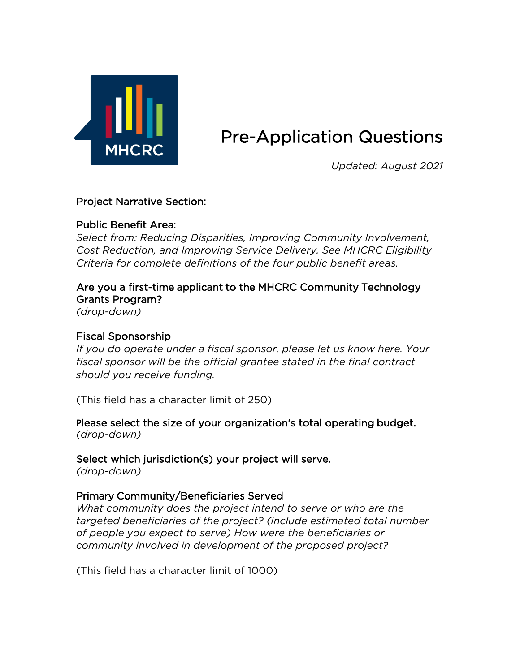

# Pre-Application Questions

*Updated: August 2021*

# Project Narrative Section:

## Public Benefit Area:

*Select from: Reducing Disparities, Improving Community Involvement, Cost Reduction, and Improving Service Delivery. See MHCRC Eligibility Criteria for complete definitions of the four public benefit areas.* 

# Are you a first-time applicant to the MHCRC Community Technology Grants Program?

*(drop-down)* 

## Fiscal Sponsorship

*If you do operate under a fiscal sponsor, please let us know here. Your fiscal sponsor will be the official grantee stated in the final contract should you receive funding.* 

(This field has a character limit of 250)

**P**lease select the size of your organization's total operating budget. *(drop-down)*

Select which jurisdiction(s) your project will serve.

*(drop-down)*

# Primary Community/Beneficiaries Served

*What community does the project intend to serve or who are the targeted beneficiaries of the project? (include estimated total number of people you expect to serve) How were the beneficiaries or community involved in development of the proposed project?* 

(This field has a character limit of 1000)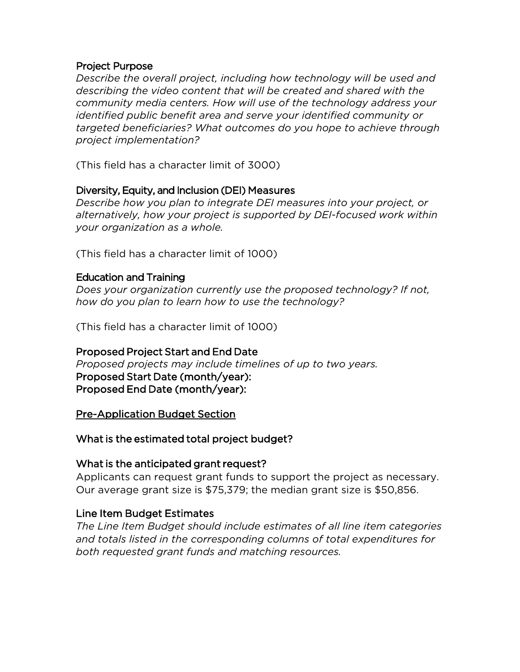#### Project Purpose

*Describe the overall project, including how technology will be used and describing the video content that will be created and shared with the community media centers. How will use of the technology address your identified public benefit area and serve your identified community or targeted beneficiaries? What outcomes do you hope to achieve through project implementation?* 

(This field has a character limit of 3000)

## Diversity, Equity, and Inclusion (DEI) Measures

*Describe how you plan to integrate DEI measures into your project, or alternatively, how your project is supported by DEI-focused work within your organization as a whole.* 

(This field has a character limit of 1000)

### Education and Training

*Does your organization currently use the proposed technology? If not, how do you plan to learn how to use the technology?* 

(This field has a character limit of 1000)

#### Proposed Project Start and End Date

*Proposed projects may include timelines of up to two years.* Proposed Start Date (month/year): Proposed End Date (month/year):

Pre-Application Budget Section

What is the estimated total project budget?

#### What is the anticipated grant request?

Applicants can request grant funds to support the project as necessary. Our average grant size is \$75,379; the median grant size is \$50,856.

## Line Item Budget Estimates

*The Line Item Budget should include estimates of all line item categories and totals listed in the corresponding columns of total expenditures for both requested grant funds and matching resources.*